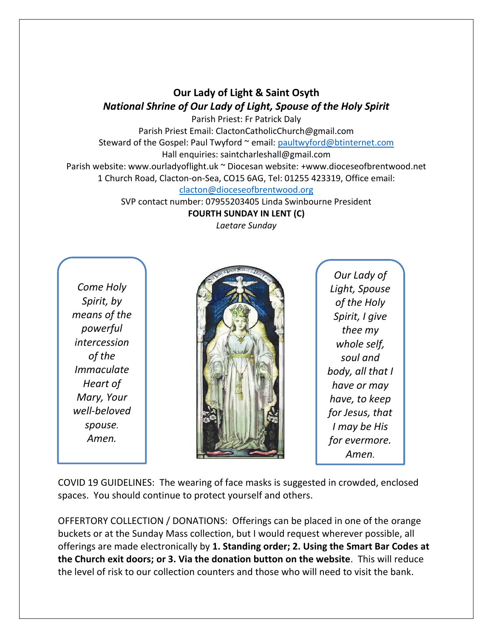## **Our Lady of Light & Saint Osyth** *National Shrine of Our Lady of Light, Spouse of the Holy Spirit*

Parish Priest: Fr Patrick Daly Parish Priest Email: ClactonCatholicChurch@gmail.com Steward of the Gospel: Paul Twyford ~ email: [paultwyford@btinternet.com](mailto:paultwyford@btinternet.com) Hall enquiries: saintcharleshall@gmail.com Parish website: www.ourladyoflight.uk ~ Diocesan website: +www.dioceseofbrentwood.net

1 Church Road, Clacton-on-Sea, CO15 6AG, Tel: 01255 423319, Office email:

## [clacton@dioceseofbrentwood.org](mailto:clacton@dioceseofbrentwood.org)

SVP contact number: 07955203405 Linda Swinbourne President

**FOURTH SUNDAY IN LENT (C)**

*Laetare Sunday*

*Come Holy Spirit, by means of the powerful intercession of the Immaculate Heart of Mary, Your well-beloved spouse. Amen.*



*Our Lady of Light, Spouse of the Holy Spirit, I give thee my whole self, soul and body, all that I have or may have, to keep for Jesus, that I may be His for evermore. Amen.*

COVID 19 GUIDELINES: The wearing of face masks is suggested in crowded, enclosed spaces. You should continue to protect yourself and others.

OFFERTORY COLLECTION / DONATIONS: Offerings can be placed in one of the orange buckets or at the Sunday Mass collection, but I would request wherever possible, all offerings are made electronically by **1. Standing order; 2. Using the Smart Bar Codes at the Church exit doors; or 3. Via the donation button on the website**. This will reduce the level of risk to our collection counters and those who will need to visit the bank.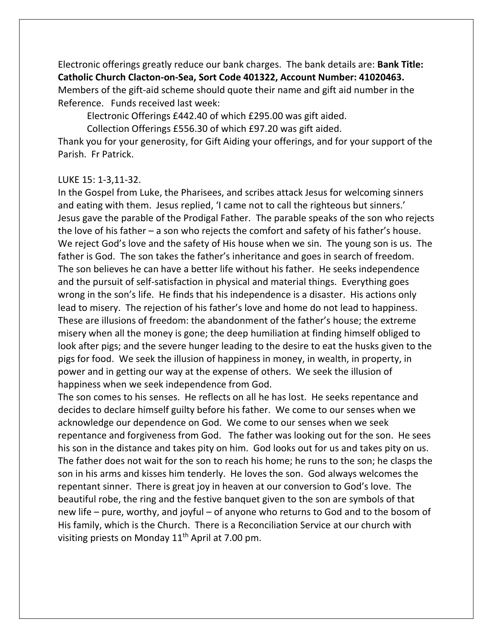Electronic offerings greatly reduce our bank charges. The bank details are: **Bank Title: Catholic Church Clacton-on-Sea, Sort Code 401322, Account Number: 41020463.** Members of the gift-aid scheme should quote their name and gift aid number in the Reference. Funds received last week:

Electronic Offerings £442.40 of which £295.00 was gift aided.

Collection Offerings £556.30 of which £97.20 was gift aided.

Thank you for your generosity, for Gift Aiding your offerings, and for your support of the Parish. Fr Patrick.

## LUKE 15: 1-3,11-32.

In the Gospel from Luke, the Pharisees, and scribes attack Jesus for welcoming sinners and eating with them. Jesus replied, 'I came not to call the righteous but sinners.' Jesus gave the parable of the Prodigal Father. The parable speaks of the son who rejects the love of his father – a son who rejects the comfort and safety of his father's house. We reject God's love and the safety of His house when we sin. The young son is us. The father is God. The son takes the father's inheritance and goes in search of freedom. The son believes he can have a better life without his father. He seeks independence and the pursuit of self-satisfaction in physical and material things. Everything goes wrong in the son's life. He finds that his independence is a disaster. His actions only lead to misery. The rejection of his father's love and home do not lead to happiness. These are illusions of freedom: the abandonment of the father's house; the extreme misery when all the money is gone; the deep humiliation at finding himself obliged to look after pigs; and the severe hunger leading to the desire to eat the husks given to the pigs for food. We seek the illusion of happiness in money, in wealth, in property, in power and in getting our way at the expense of others. We seek the illusion of happiness when we seek independence from God.

The son comes to his senses. He reflects on all he has lost. He seeks repentance and decides to declare himself guilty before his father. We come to our senses when we acknowledge our dependence on God. We come to our senses when we seek repentance and forgiveness from God. The father was looking out for the son. He sees his son in the distance and takes pity on him. God looks out for us and takes pity on us. The father does not wait for the son to reach his home; he runs to the son; he clasps the son in his arms and kisses him tenderly. He loves the son. God always welcomes the repentant sinner. There is great joy in heaven at our conversion to God's love. The beautiful robe, the ring and the festive banquet given to the son are symbols of that new life – pure, worthy, and joyful – of anyone who returns to God and to the bosom of His family, which is the Church. There is a Reconciliation Service at our church with visiting priests on Monday  $11<sup>th</sup>$  April at 7.00 pm.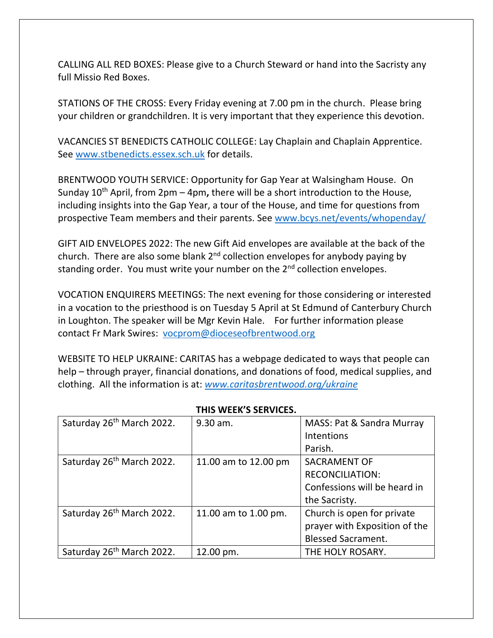CALLING ALL RED BOXES: Please give to a Church Steward or hand into the Sacristy any full Missio Red Boxes.

STATIONS OF THE CROSS: Every Friday evening at 7.00 pm in the church. Please bring your children or grandchildren. It is very important that they experience this devotion.

VACANCIES ST BENEDICTS CATHOLIC COLLEGE: Lay Chaplain and Chaplain Apprentice. See [www.stbenedicts.essex.sch.uk](http://www.stbenedicts.essex.sch.uk/) for details.

BRENTWOOD YOUTH SERVICE: Opportunity for Gap Year at Walsingham House. On Sunday 10th April, from 2pm – 4pm**,** there will be a short introduction to the House, including insights into the Gap Year, a tour of the House, and time for questions from prospective Team members and their parents. See [www.bcys.net/events/whopenday/](https://nam12.safelinks.protection.outlook.com/?url=http%3A%2F%2Fwww.bcys.net%2Fevents%2Fwhopenday%2F&data=04%7C01%7C%7C5e972b76f1c1423e5fdf08da06983a73%7C84df9e7fe9f640afb435aaaaaaaaaaaa%7C1%7C0%7C637829548250032448%7CUnknown%7CTWFpbGZsb3d8eyJWIjoiMC4wLjAwMDAiLCJQIjoiV2luMzIiLCJBTiI6Ik1haWwiLCJXVCI6Mn0%3D%7C3000&sdata=Opn108cUDvxPxZgjHp4xEtawrTADMF0V3k3%2F1vf0tAg%3D&reserved=0)

GIFT AID ENVELOPES 2022: The new Gift Aid envelopes are available at the back of the church. There are also some blank 2<sup>nd</sup> collection envelopes for anybody paying by standing order. You must write your number on the 2<sup>nd</sup> collection envelopes.

VOCATION ENQUIRERS MEETINGS: The next evening for those considering or interested in a vocation to the priesthood is on Tuesday 5 April at St Edmund of Canterbury Church in Loughton. The speaker will be Mgr Kevin Hale. For further information please contact Fr Mark Swires: [vocprom@dioceseofbrentwood.org](mailto:vocprom@dioceseofbrentwood.org)

WEBSITE TO HELP UKRAINE: CARITAS has a webpage dedicated to ways that people can help – through prayer, financial donations, and donations of food, medical supplies, and clothing. All the information is at: *[www.caritasbrentwood.org/ukraine](http://www.caritasbrentwood.org/ukraine)*

| Saturday 26 <sup>th</sup> March 2022. | 9.30 am.             | MASS: Pat & Sandra Murray     |
|---------------------------------------|----------------------|-------------------------------|
|                                       |                      | Intentions                    |
|                                       |                      | Parish.                       |
| Saturday 26 <sup>th</sup> March 2022. | 11.00 am to 12.00 pm | <b>SACRAMENT OF</b>           |
|                                       |                      | <b>RECONCILIATION:</b>        |
|                                       |                      | Confessions will be heard in  |
|                                       |                      | the Sacristy.                 |
| Saturday 26 <sup>th</sup> March 2022. | 11.00 am to 1.00 pm. | Church is open for private    |
|                                       |                      | prayer with Exposition of the |
|                                       |                      | <b>Blessed Sacrament.</b>     |
| Saturday 26 <sup>th</sup> March 2022. | 12.00 pm.            | THE HOLY ROSARY.              |

## **THIS WEEK'S SERVICES.**